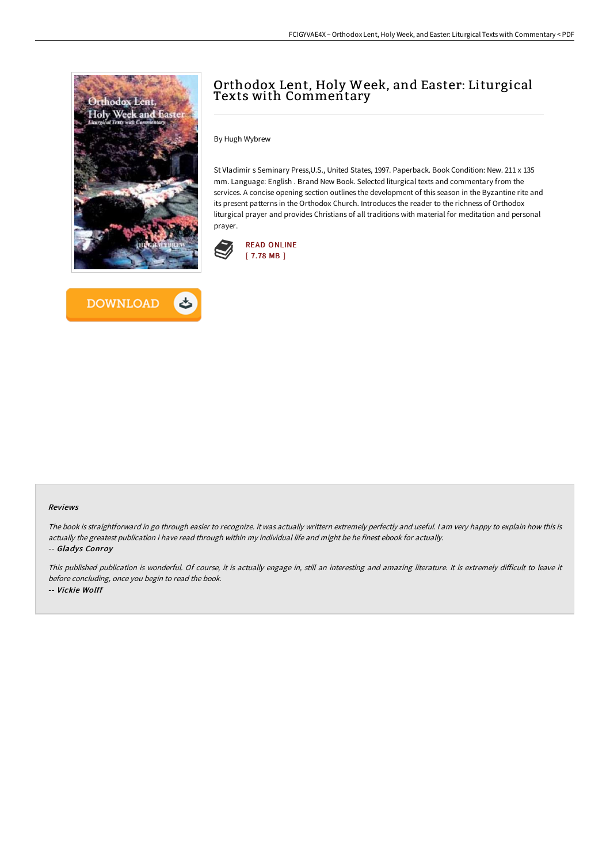



# Orthodox Lent, Holy Week, and Easter: Liturgical Texts with Commentary

By Hugh Wybrew

St Vladimir s Seminary Press,U.S., United States, 1997. Paperback. Book Condition: New. 211 x 135 mm. Language: English . Brand New Book. Selected liturgical texts and commentary from the services. A concise opening section outlines the development of this season in the Byzantine rite and its present patterns in the Orthodox Church. Introduces the reader to the richness of Orthodox liturgical prayer and provides Christians of all traditions with material for meditation and personal prayer.



#### Reviews

The book is straightforward in go through easier to recognize. it was actually writtern extremely perfectly and useful. <sup>I</sup> am very happy to explain how this is actually the greatest publication i have read through within my individual life and might be he finest ebook for actually.

-- Gladys Conroy

This published publication is wonderful. Of course, it is actually engage in, still an interesting and amazing literature. It is extremely difficult to leave it before concluding, once you begin to read the book. -- Vickie Wolff